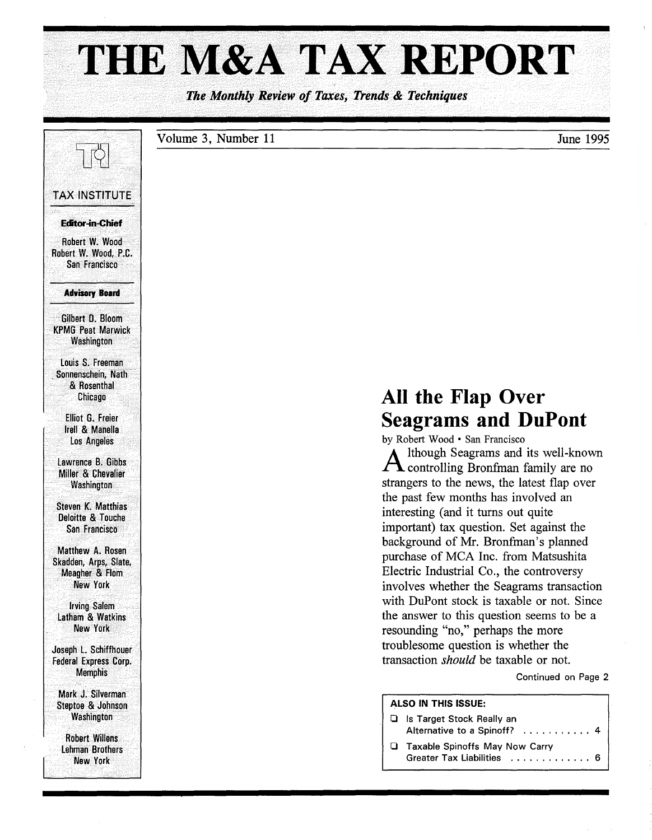# THE M&A TAX REPORT

*The Monthly Review of Taxes, Trends* & *Techniques* 

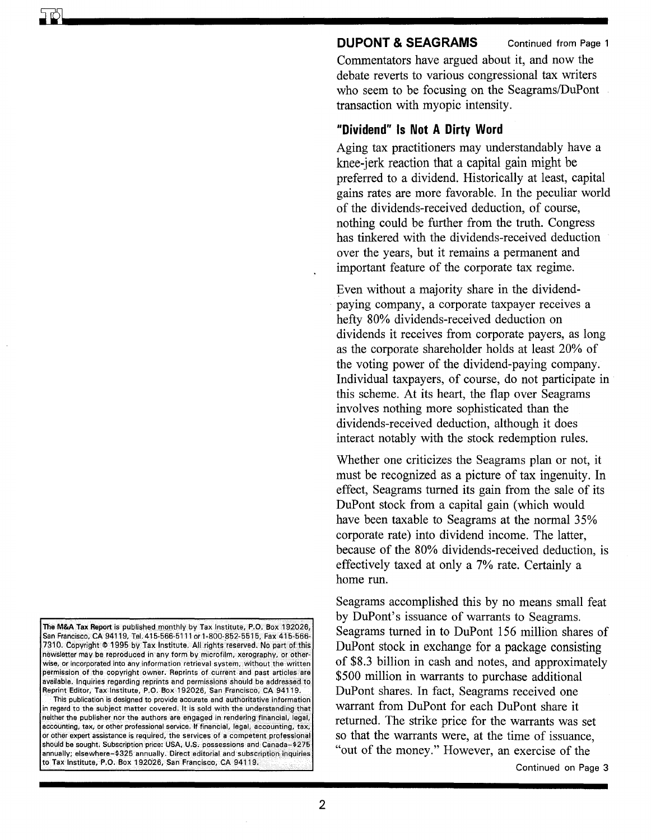#### **DUPONT & SEAGRAMS** Continued from Page 1

Commentators have argued about it, and now the debate reverts to various congressional tax writers who seem to be focusing on the Seagrams/DuPont transaction with myopic intensity.

# **"Dividend" Is Not A Dirty Word**

Aging tax practitioners may understandably have a knee-jerk reaction that a capital gain might be preferred to a dividend. Historically at least, capital gains rates are more favorable. In the peculiar world of the dividends-received deduction, of course, nothing could be further from the truth. Congress has tinkered with the dividends-received deduction over the years, but it remains a permanent and important feature of the corporate tax regime.

Even without a majority share in the dividendpaying company, a corporate taxpayer receives a hefty 80% dividends-received deduction on dividends it receives from corporate payers, as long as the corporate shareholder holds at least 20% of the voting power of the dividend-paying company. Individual taxpayers, of course, do not participate in this scheme. At its heart, the flap over Seagrams involves nothing more sophisticated than the dividends-received deduction, although it does interact notably with the stock redemption rules.

Whether one criticizes the Seagrams plan or not, it must be recognized as a picture of tax ingenuity. In effect, Seagrams turned its gain from the sale of its DuPont stock from a capital gain (which would have been taxable to Seagrams at the normal 35% corporate rate) into dividend income. The latter, because of the 80% dividends-received deduction, is effectively taxed at only a 7% rate. Certainly a home run.

Seagrams accomplished this by no means small feat by DuPont's issuance of warrants to Seagrams. Seagrams turned in to DuPont 156 million shares of DuPont stock in exchange for a package consisting of \$8.3 billion in cash and notes, and approximately \$500 million in warrants to purchase additional DuPont shares. In fact, Seagrams received one warrant from DuPont for each DuPont share it returned. The strike price for the warrants was set so that the warrants were, at the time of issuance, "out of the money." However, an exercise of the

Continued on Page 3

This publication is designed to provide accurate and authoritative information in regard to the subject matter covered. It is sold with the understanding that neither the publisher nor the authors are engaged in. rendering financial, legal, accounting, tax, or other professional service. If financial, legal, accounting, tax, or other expert assistance is required, the services of a competent professional should be sought. Subscription price: USA, U.S. possessions and Canada-\$275 annually; elsewhere-\$325 annually. Direct editorial and subscription inquiries to Tax Institute, P.O. Box 192026, San Francisco, CA 94119.

The M&A Tax Report is published monthly by Tax Institute, P.O. Box 192026 San Francisco, CA 94119, Tel. 415·566·5111 or 1·800·852-5515, Fax 415·566- 7310. Copyright @ 1995 by Tax Institute. All rights reserved. No part of this newsletter may be reproduced in any form by microfilm, xerography, or otherwise, or incorporated into any information retrieval system, without the written permission of the copyright owner. Reprints of current and past articles are available. Inquiries regarding reprints and permissions should be addressed to Reprint Editor, Tax Institute, P.O. Box 192026, San Francisco, CA 94119.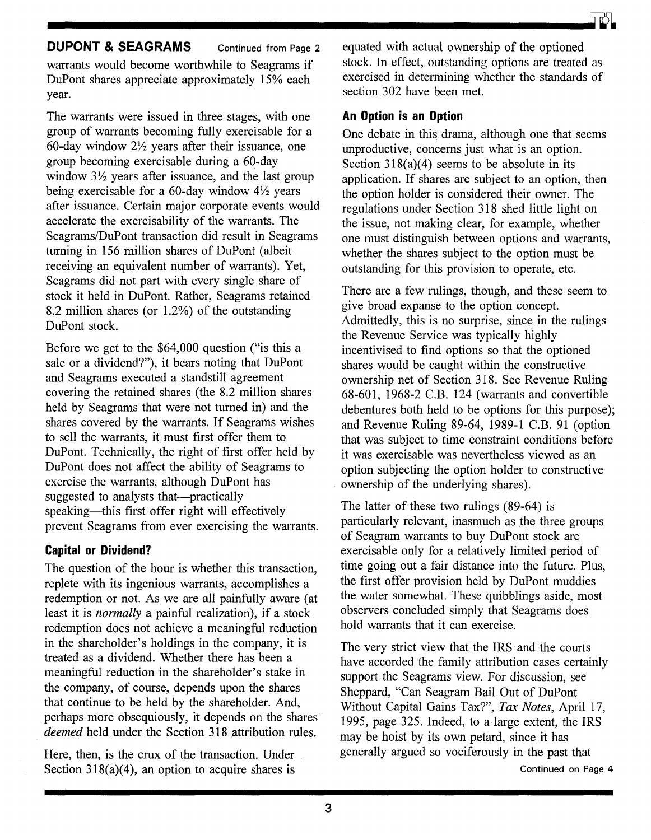#### **DUPONT & SEAGRAMS** Continued from Page 2

warrants would become worthwhile to Seagrams if DuPont shares appreciate approximately 15% each year.

The warrants were issued in three stages, with one group of warrants becoming fully exercisable for a 60-day window  $2\frac{1}{2}$  years after their issuance, one group becoming exercisable during a 60-day window  $3\frac{1}{2}$  years after issuance, and the last group being exercisable for a 60-day window  $4\frac{1}{2}$  years after issuance. Certain major corporate events would accelerate the exercisability of the warrants. The Seagrams/DuPont transaction did result in Seagrams turning in 156 million shares of DuPont (albeit receiving an equivalent number of warrants). Yet, Seagrams did not part with every single share of stock it held in DuPont. Rather, Seagrams retained 8.2 million shares (or 1.2%) of the outstanding DuPont stock.

Before we get to the \$64,000 question ("is this a sale or a dividend?"), it bears noting that DuPont and Seagrams executed a standstill agreement covering the retained shares (the 8.2 million shares held by Seagrams that were not turned in) and the shares covered by the warrants. If Seagrams wishes to sell the warrants, it must first offer them to DuPont. Technically, the right of first offer held by DuPont does not affect the ability of Seagrams to exercise the warrants, although DuPont has suggested to analysts that—practically speaking-this first offer right will effectively prevent Seagrams from ever exercising the warrants.

# **Capital or Dividend?**

The question of the hour is whether this transaction, replete with its ingenious warrants, accomplishes a redemption or not. As we are all painfully aware (at least it is *normally* a painful realization), if a stock redemption does not achieve a meaningful reduction in the shareholder's holdings in the company, it is treated as a dividend. Whether there has been a meaningful reduction in the shareholder's stake in the company, of course, depends upon the shares that continue to be held by the shareholder. And, perhaps more obsequiously, it depends on the shares *deemed* held under the Section 318 attribution rules.

Here, then, is the crux of the transaction. Under Section  $318(a)(4)$ , an option to acquire shares is equated with actual ownership of the optioned stock. In effect, outstanding options are treated as exercised in determining whether the standards of section 302 have been met.

## **An Option is an Option**

One debate in this drama, although one that seems unproductive, concerns just what is an option. Section  $318(a)(4)$  seems to be absolute in its application. If shares are subject to an option, then the option holder is considered their owner. The regulations under Section 318 shed little light on the issue, not making clear, for example, whether one must distinguish between options and warrants, whether the shares subject to the option must be outstanding for this provision to operate, etc.

There are a few rulings, though, and these seem to give broad expanse to the option concept. Admittedly, this is no surprise, since in the rulings the Revenue Service was typically highly incentivised to find options so that the optioned shares would be caught within the constructive ownership net of Section 318. See Revenue Ruling 68-601, 1968-2 C.B. 124 (warrants and convertible debentures both held to be options for this purpose); and Revenue Ruling 89-64, 1989-1 C.B. 91 (option that was subject to time constraint conditions before it was exercisable was nevertheless viewed as an option subjecting the option holder to constructive ownership of the underlying shares).

The latter of these two rulings (89-64) is particularly relevant, inasmuch as the three groups of Seagram warrants to buy DuPont stock are exercisable only for a relatively limited period of time going out a fair distance into the future. Plus, the first offer provision held by DuPont muddies the water somewhat. These quibblings aside, most observers concluded simply that Seagrams does hold warrants that it can exercise.

The very strict view that the IRS· and the courts have accorded the family attribution cases certainly support the Seagrams view. For discussion, see Sheppard, "Can Seagram Bail Out of DuPont Without Capital Gains Tax?", *Tax Notes,* April 17, 1995, page 325. Indeed, to a large extent, the IRS may be hoist by its own petard, since it has generally argued so vociferously in the past that Continued on Page 4